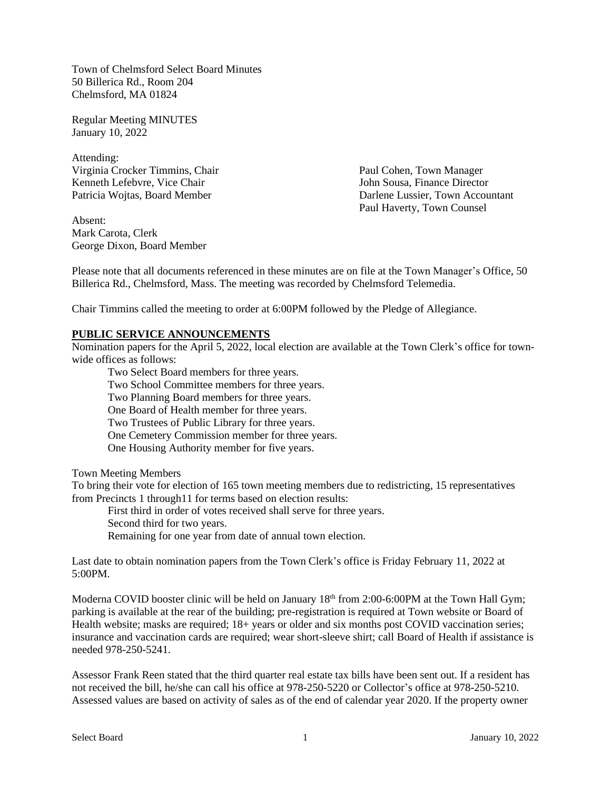Town of Chelmsford Select Board Minutes 50 Billerica Rd., Room 204 Chelmsford, MA 01824

Regular Meeting MINUTES January 10, 2022

Attending: Virginia Crocker Timmins, Chair Paul Cohen, Town Manager Kenneth Lefebvre, Vice Chair **Sousa**, Finance Director John Sousa, Finance Director

Absent: Mark Carota, Clerk George Dixon, Board Member

Patricia Wojtas, Board Member **Darlene Lussier**, Town Accountant Paul Haverty, Town Counsel

Please note that all documents referenced in these minutes are on file at the Town Manager's Office, 50 Billerica Rd., Chelmsford, Mass. The meeting was recorded by Chelmsford Telemedia.

Chair Timmins called the meeting to order at 6:00PM followed by the Pledge of Allegiance.

#### **PUBLIC SERVICE ANNOUNCEMENTS**

Nomination papers for the April 5, 2022, local election are available at the Town Clerk's office for townwide offices as follows:

Two Select Board members for three years. Two School Committee members for three years. Two Planning Board members for three years. One Board of Health member for three years. Two Trustees of Public Library for three years. One Cemetery Commission member for three years. One Housing Authority member for five years.

Town Meeting Members

To bring their vote for election of 165 town meeting members due to redistricting, 15 representatives from Precincts 1 through11 for terms based on election results:

First third in order of votes received shall serve for three years. Second third for two years. Remaining for one year from date of annual town election.

Last date to obtain nomination papers from the Town Clerk's office is Friday February 11, 2022 at 5:00PM.

Moderna COVID booster clinic will be held on January 18<sup>th</sup> from 2:00-6:00PM at the Town Hall Gym; parking is available at the rear of the building; pre-registration is required at Town website or Board of Health website; masks are required; 18+ years or older and six months post COVID vaccination series; insurance and vaccination cards are required; wear short-sleeve shirt; call Board of Health if assistance is needed 978-250-5241.

Assessor Frank Reen stated that the third quarter real estate tax bills have been sent out. If a resident has not received the bill, he/she can call his office at 978-250-5220 or Collector's office at 978-250-5210. Assessed values are based on activity of sales as of the end of calendar year 2020. If the property owner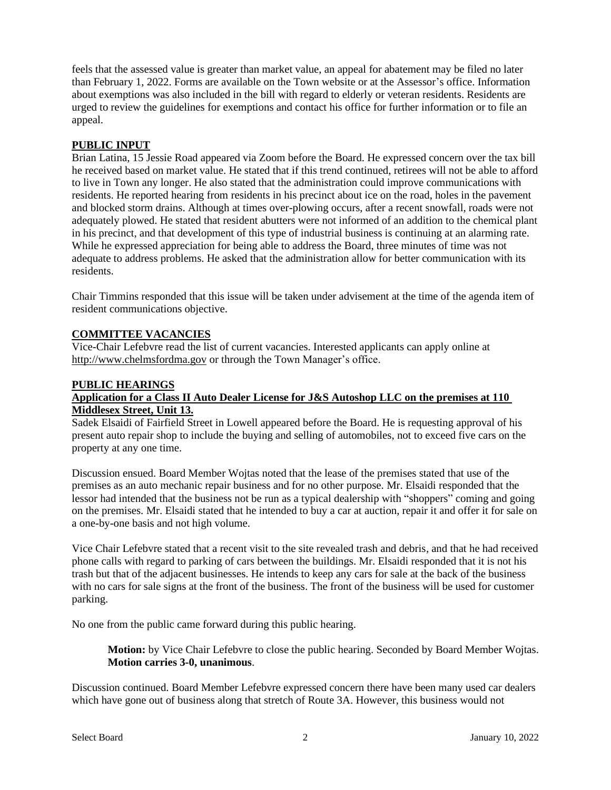feels that the assessed value is greater than market value, an appeal for abatement may be filed no later than February 1, 2022. Forms are available on the Town website or at the Assessor's office. Information about exemptions was also included in the bill with regard to elderly or veteran residents. Residents are urged to review the guidelines for exemptions and contact his office for further information or to file an appeal.

# **PUBLIC INPUT**

Brian Latina, 15 Jessie Road appeared via Zoom before the Board. He expressed concern over the tax bill he received based on market value. He stated that if this trend continued, retirees will not be able to afford to live in Town any longer. He also stated that the administration could improve communications with residents. He reported hearing from residents in his precinct about ice on the road, holes in the pavement and blocked storm drains. Although at times over-plowing occurs, after a recent snowfall, roads were not adequately plowed. He stated that resident abutters were not informed of an addition to the chemical plant in his precinct, and that development of this type of industrial business is continuing at an alarming rate. While he expressed appreciation for being able to address the Board, three minutes of time was not adequate to address problems. He asked that the administration allow for better communication with its residents.

Chair Timmins responded that this issue will be taken under advisement at the time of the agenda item of resident communications objective.

# **COMMITTEE VACANCIES**

Vice-Chair Lefebvre read the list of current vacancies. Interested applicants can apply online at http://www.chelmsfordma.gov or through the Town Manager's office.

#### **PUBLIC HEARINGS**

### **Application for a Class II Auto Dealer License for J&S Autoshop LLC on the premises at 110 Middlesex Street, Unit 13.**

Sadek Elsaidi of Fairfield Street in Lowell appeared before the Board. He is requesting approval of his present auto repair shop to include the buying and selling of automobiles, not to exceed five cars on the property at any one time.

Discussion ensued. Board Member Wojtas noted that the lease of the premises stated that use of the premises as an auto mechanic repair business and for no other purpose. Mr. Elsaidi responded that the lessor had intended that the business not be run as a typical dealership with "shoppers" coming and going on the premises. Mr. Elsaidi stated that he intended to buy a car at auction, repair it and offer it for sale on a one-by-one basis and not high volume.

Vice Chair Lefebvre stated that a recent visit to the site revealed trash and debris, and that he had received phone calls with regard to parking of cars between the buildings. Mr. Elsaidi responded that it is not his trash but that of the adjacent businesses. He intends to keep any cars for sale at the back of the business with no cars for sale signs at the front of the business. The front of the business will be used for customer parking.

No one from the public came forward during this public hearing.

**Motion:** by Vice Chair Lefebvre to close the public hearing. Seconded by Board Member Wojtas. **Motion carries 3-0, unanimous**.

Discussion continued. Board Member Lefebvre expressed concern there have been many used car dealers which have gone out of business along that stretch of Route 3A. However, this business would not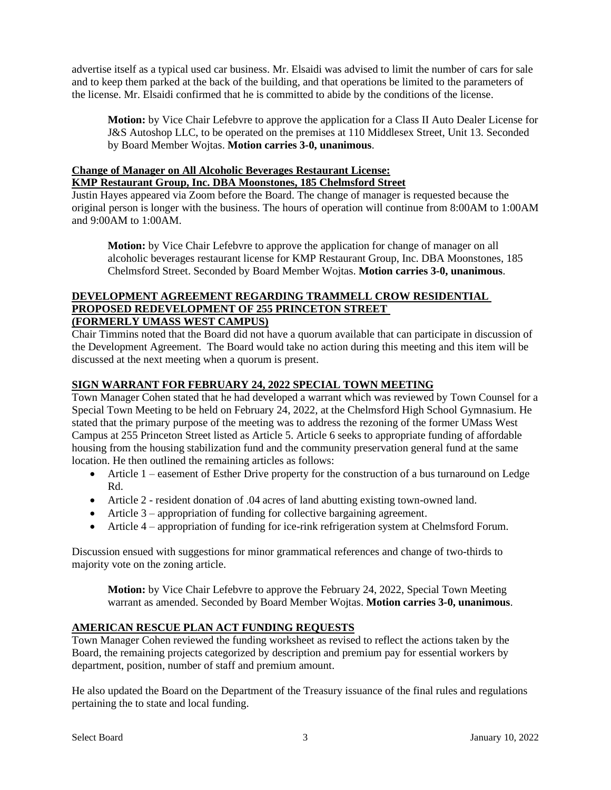advertise itself as a typical used car business. Mr. Elsaidi was advised to limit the number of cars for sale and to keep them parked at the back of the building, and that operations be limited to the parameters of the license. Mr. Elsaidi confirmed that he is committed to abide by the conditions of the license.

**Motion:** by Vice Chair Lefebvre to approve the application for a Class II Auto Dealer License for J&S Autoshop LLC, to be operated on the premises at 110 Middlesex Street, Unit 13. Seconded by Board Member Wojtas. **Motion carries 3-0, unanimous**.

# **Change of Manager on All Alcoholic Beverages Restaurant License: KMP Restaurant Group, Inc. DBA Moonstones, 185 Chelmsford Street**

Justin Hayes appeared via Zoom before the Board. The change of manager is requested because the original person is longer with the business. The hours of operation will continue from 8:00AM to 1:00AM and 9:00AM to 1:00AM.

**Motion:** by Vice Chair Lefebvre to approve the application for change of manager on all alcoholic beverages restaurant license for KMP Restaurant Group, Inc. DBA Moonstones, 185 Chelmsford Street. Seconded by Board Member Wojtas. **Motion carries 3-0, unanimous**.

### **DEVELOPMENT AGREEMENT REGARDING TRAMMELL CROW RESIDENTIAL PROPOSED REDEVELOPMENT OF 255 PRINCETON STREET (FORMERLY UMASS WEST CAMPUS)**

Chair Timmins noted that the Board did not have a quorum available that can participate in discussion of the Development Agreement. The Board would take no action during this meeting and this item will be discussed at the next meeting when a quorum is present.

# **SIGN WARRANT FOR FEBRUARY 24, 2022 SPECIAL TOWN MEETING**

Town Manager Cohen stated that he had developed a warrant which was reviewed by Town Counsel for a Special Town Meeting to be held on February 24, 2022, at the Chelmsford High School Gymnasium. He stated that the primary purpose of the meeting was to address the rezoning of the former UMass West Campus at 255 Princeton Street listed as Article 5. Article 6 seeks to appropriate funding of affordable housing from the housing stabilization fund and the community preservation general fund at the same location. He then outlined the remaining articles as follows:

- Article 1 easement of Esther Drive property for the construction of a bus turnaround on Ledge Rd.
- Article 2 resident donation of .04 acres of land abutting existing town-owned land.
- Article 3 appropriation of funding for collective bargaining agreement.
- Article 4 appropriation of funding for ice-rink refrigeration system at Chelmsford Forum.

Discussion ensued with suggestions for minor grammatical references and change of two-thirds to majority vote on the zoning article.

**Motion:** by Vice Chair Lefebvre to approve the February 24, 2022, Special Town Meeting warrant as amended. Seconded by Board Member Wojtas. **Motion carries 3-0, unanimous**.

# **AMERICAN RESCUE PLAN ACT FUNDING REQUESTS**

Town Manager Cohen reviewed the funding worksheet as revised to reflect the actions taken by the Board, the remaining projects categorized by description and premium pay for essential workers by department, position, number of staff and premium amount.

He also updated the Board on the Department of the Treasury issuance of the final rules and regulations pertaining the to state and local funding.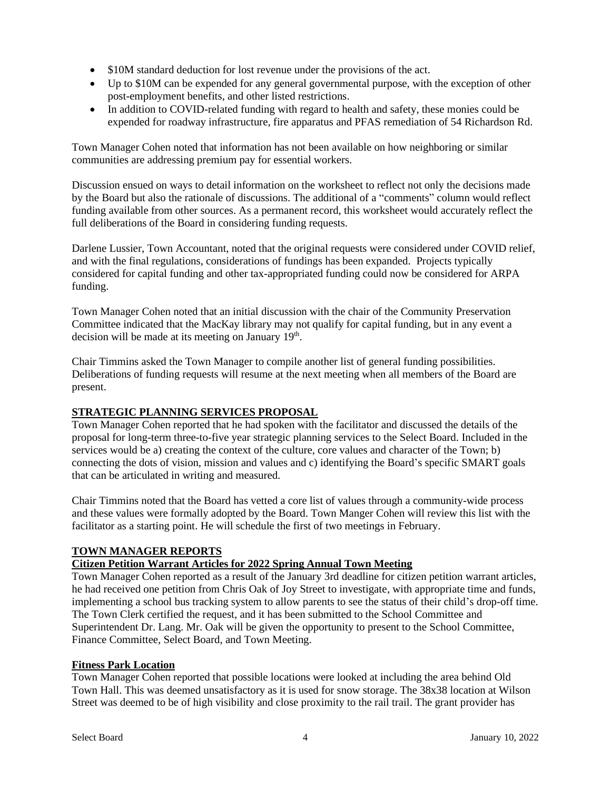- \$10M standard deduction for lost revenue under the provisions of the act.
- Up to \$10M can be expended for any general governmental purpose, with the exception of other post-employment benefits, and other listed restrictions.
- In addition to COVID-related funding with regard to health and safety, these monies could be expended for roadway infrastructure, fire apparatus and PFAS remediation of 54 Richardson Rd.

Town Manager Cohen noted that information has not been available on how neighboring or similar communities are addressing premium pay for essential workers.

Discussion ensued on ways to detail information on the worksheet to reflect not only the decisions made by the Board but also the rationale of discussions. The additional of a "comments" column would reflect funding available from other sources. As a permanent record, this worksheet would accurately reflect the full deliberations of the Board in considering funding requests.

Darlene Lussier, Town Accountant, noted that the original requests were considered under COVID relief, and with the final regulations, considerations of fundings has been expanded. Projects typically considered for capital funding and other tax-appropriated funding could now be considered for ARPA funding.

Town Manager Cohen noted that an initial discussion with the chair of the Community Preservation Committee indicated that the MacKay library may not qualify for capital funding, but in any event a decision will be made at its meeting on January 19<sup>th</sup>.

Chair Timmins asked the Town Manager to compile another list of general funding possibilities. Deliberations of funding requests will resume at the next meeting when all members of the Board are present.

# **STRATEGIC PLANNING SERVICES PROPOSAL**

Town Manager Cohen reported that he had spoken with the facilitator and discussed the details of the proposal for long-term three-to-five year strategic planning services to the Select Board. Included in the services would be a) creating the context of the culture, core values and character of the Town; b) connecting the dots of vision, mission and values and c) identifying the Board's specific SMART goals that can be articulated in writing and measured.

Chair Timmins noted that the Board has vetted a core list of values through a community-wide process and these values were formally adopted by the Board. Town Manger Cohen will review this list with the facilitator as a starting point. He will schedule the first of two meetings in February.

### **TOWN MANAGER REPORTS**

### **Citizen Petition Warrant Articles for 2022 Spring Annual Town Meeting**

Town Manager Cohen reported as a result of the January 3rd deadline for citizen petition warrant articles, he had received one petition from Chris Oak of Joy Street to investigate, with appropriate time and funds, implementing a school bus tracking system to allow parents to see the status of their child's drop-off time. The Town Clerk certified the request, and it has been submitted to the School Committee and Superintendent Dr. Lang. Mr. Oak will be given the opportunity to present to the School Committee, Finance Committee, Select Board, and Town Meeting.

### **Fitness Park Location**

Town Manager Cohen reported that possible locations were looked at including the area behind Old Town Hall. This was deemed unsatisfactory as it is used for snow storage. The 38x38 location at Wilson Street was deemed to be of high visibility and close proximity to the rail trail. The grant provider has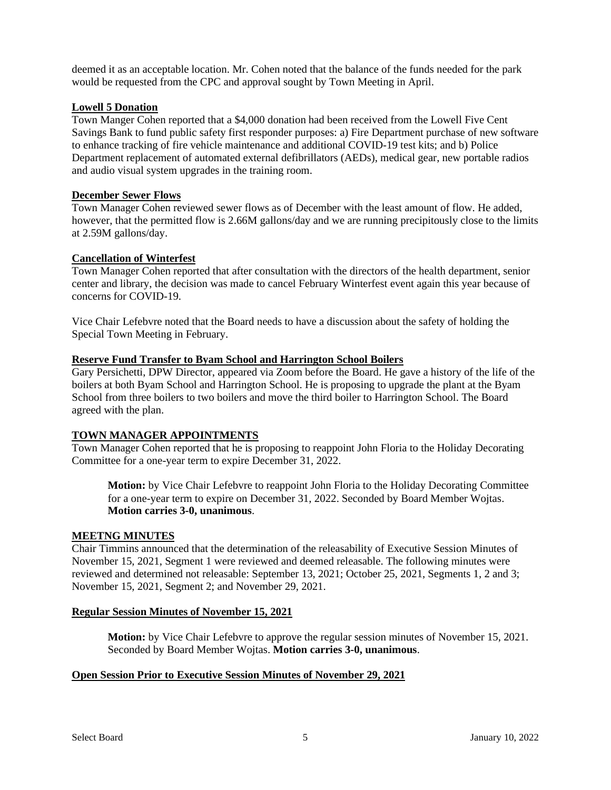deemed it as an acceptable location. Mr. Cohen noted that the balance of the funds needed for the park would be requested from the CPC and approval sought by Town Meeting in April.

### **Lowell 5 Donation**

Town Manger Cohen reported that a \$4,000 donation had been received from the Lowell Five Cent Savings Bank to fund public safety first responder purposes: a) Fire Department purchase of new software to enhance tracking of fire vehicle maintenance and additional COVID-19 test kits; and b) Police Department replacement of automated external defibrillators (AEDs), medical gear, new portable radios and audio visual system upgrades in the training room.

#### **December Sewer Flows**

Town Manager Cohen reviewed sewer flows as of December with the least amount of flow. He added, however, that the permitted flow is 2.66M gallons/day and we are running precipitously close to the limits at 2.59M gallons/day.

### **Cancellation of Winterfest**

Town Manager Cohen reported that after consultation with the directors of the health department, senior center and library, the decision was made to cancel February Winterfest event again this year because of concerns for COVID-19.

Vice Chair Lefebvre noted that the Board needs to have a discussion about the safety of holding the Special Town Meeting in February.

#### **Reserve Fund Transfer to Byam School and Harrington School Boilers**

Gary Persichetti, DPW Director, appeared via Zoom before the Board. He gave a history of the life of the boilers at both Byam School and Harrington School. He is proposing to upgrade the plant at the Byam School from three boilers to two boilers and move the third boiler to Harrington School. The Board agreed with the plan.

### **TOWN MANAGER APPOINTMENTS**

Town Manager Cohen reported that he is proposing to reappoint John Floria to the Holiday Decorating Committee for a one-year term to expire December 31, 2022.

**Motion:** by Vice Chair Lefebvre to reappoint John Floria to the Holiday Decorating Committee for a one-year term to expire on December 31, 2022. Seconded by Board Member Wojtas. **Motion carries 3-0, unanimous**.

#### **MEETNG MINUTES**

Chair Timmins announced that the determination of the releasability of Executive Session Minutes of November 15, 2021, Segment 1 were reviewed and deemed releasable. The following minutes were reviewed and determined not releasable: September 13, 2021; October 25, 2021, Segments 1, 2 and 3; November 15, 2021, Segment 2; and November 29, 2021.

#### **Regular Session Minutes of November 15, 2021**

**Motion:** by Vice Chair Lefebvre to approve the regular session minutes of November 15, 2021. Seconded by Board Member Wojtas. **Motion carries 3-0, unanimous**.

### **Open Session Prior to Executive Session Minutes of November 29, 2021**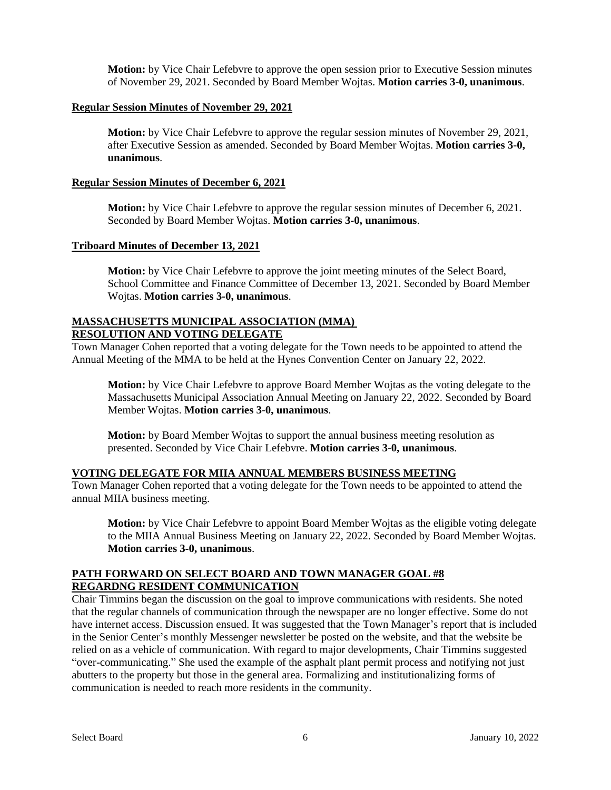**Motion:** by Vice Chair Lefebvre to approve the open session prior to Executive Session minutes of November 29, 2021. Seconded by Board Member Wojtas. **Motion carries 3-0, unanimous**.

### **Regular Session Minutes of November 29, 2021**

**Motion:** by Vice Chair Lefebvre to approve the regular session minutes of November 29, 2021, after Executive Session as amended. Seconded by Board Member Wojtas. **Motion carries 3-0, unanimous**.

#### **Regular Session Minutes of December 6, 2021**

**Motion:** by Vice Chair Lefebvre to approve the regular session minutes of December 6, 2021. Seconded by Board Member Wojtas. **Motion carries 3-0, unanimous**.

#### **Triboard Minutes of December 13, 2021**

**Motion:** by Vice Chair Lefebvre to approve the joint meeting minutes of the Select Board, School Committee and Finance Committee of December 13, 2021. Seconded by Board Member Wojtas. **Motion carries 3-0, unanimous**.

#### **MASSACHUSETTS MUNICIPAL ASSOCIATION (MMA) RESOLUTION AND VOTING DELEGATE**

Town Manager Cohen reported that a voting delegate for the Town needs to be appointed to attend the Annual Meeting of the MMA to be held at the Hynes Convention Center on January 22, 2022.

**Motion:** by Vice Chair Lefebvre to approve Board Member Wojtas as the voting delegate to the Massachusetts Municipal Association Annual Meeting on January 22, 2022. Seconded by Board Member Wojtas. **Motion carries 3-0, unanimous**.

**Motion:** by Board Member Wojtas to support the annual business meeting resolution as presented. Seconded by Vice Chair Lefebvre. **Motion carries 3-0, unanimous**.

#### **VOTING DELEGATE FOR MIIA ANNUAL MEMBERS BUSINESS MEETING**

Town Manager Cohen reported that a voting delegate for the Town needs to be appointed to attend the annual MIIA business meeting.

**Motion:** by Vice Chair Lefebvre to appoint Board Member Wojtas as the eligible voting delegate to the MIIA Annual Business Meeting on January 22, 2022. Seconded by Board Member Wojtas. **Motion carries 3-0, unanimous**.

### **PATH FORWARD ON SELECT BOARD AND TOWN MANAGER GOAL #8 REGARDNG RESIDENT COMMUNICATION**

Chair Timmins began the discussion on the goal to improve communications with residents. She noted that the regular channels of communication through the newspaper are no longer effective. Some do not have internet access. Discussion ensued. It was suggested that the Town Manager's report that is included in the Senior Center's monthly Messenger newsletter be posted on the website, and that the website be relied on as a vehicle of communication. With regard to major developments, Chair Timmins suggested "over-communicating." She used the example of the asphalt plant permit process and notifying not just abutters to the property but those in the general area. Formalizing and institutionalizing forms of communication is needed to reach more residents in the community.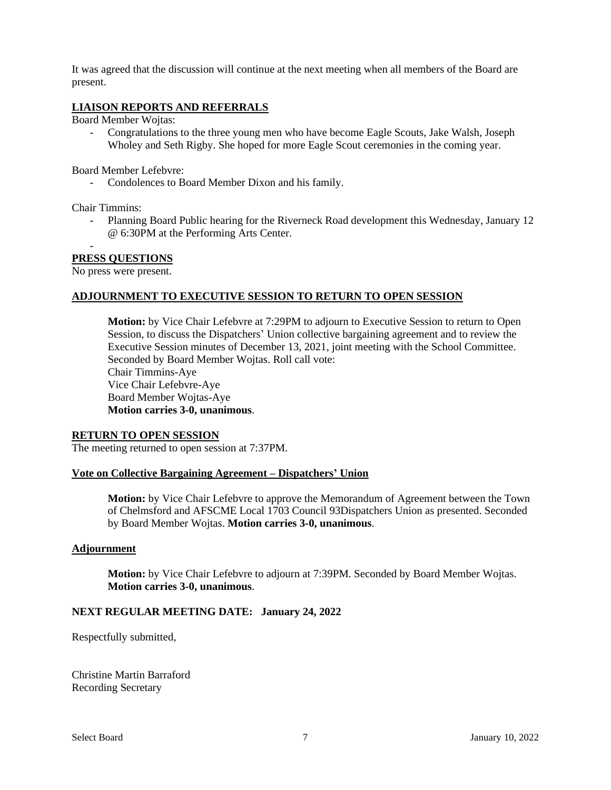It was agreed that the discussion will continue at the next meeting when all members of the Board are present.

### **LIAISON REPORTS AND REFERRALS**

Board Member Wojtas:

- Congratulations to the three young men who have become Eagle Scouts, Jake Walsh, Joseph Wholey and Seth Rigby. She hoped for more Eagle Scout ceremonies in the coming year.

Board Member Lefebvre:

- Condolences to Board Member Dixon and his family.

Chair Timmins:

-

- Planning Board Public hearing for the Riverneck Road development this Wednesday, January 12 @ 6:30PM at the Performing Arts Center.

#### **PRESS QUESTIONS**

No press were present.

#### **ADJOURNMENT TO EXECUTIVE SESSION TO RETURN TO OPEN SESSION**

**Motion:** by Vice Chair Lefebvre at 7:29PM to adjourn to Executive Session to return to Open Session, to discuss the Dispatchers' Union collective bargaining agreement and to review the Executive Session minutes of December 13, 2021, joint meeting with the School Committee. Seconded by Board Member Wojtas. Roll call vote: Chair Timmins-Aye Vice Chair Lefebvre-Aye Board Member Wojtas-Aye **Motion carries 3-0, unanimous**.

### **RETURN TO OPEN SESSION**

The meeting returned to open session at 7:37PM.

### **Vote on Collective Bargaining Agreement – Dispatchers' Union**

**Motion:** by Vice Chair Lefebvre to approve the Memorandum of Agreement between the Town of Chelmsford and AFSCME Local 1703 Council 93Dispatchers Union as presented. Seconded by Board Member Wojtas. **Motion carries 3-0, unanimous**.

### **Adjournment**

**Motion:** by Vice Chair Lefebvre to adjourn at 7:39PM. Seconded by Board Member Wojtas. **Motion carries 3-0, unanimous**.

#### **NEXT REGULAR MEETING DATE: January 24, 2022**

Respectfully submitted,

Christine Martin Barraford Recording Secretary